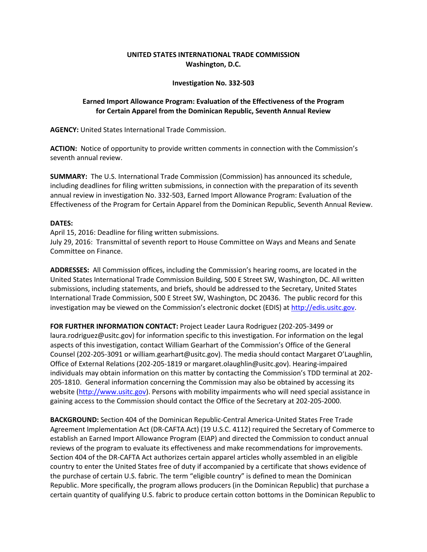## **UNITED STATES INTERNATIONAL TRADE COMMISSION Washington, D.C.**

## **Investigation No. 332-503**

## **Earned Import Allowance Program: Evaluation of the Effectiveness of the Program for Certain Apparel from the Dominican Republic, Seventh Annual Review**

**AGENCY:** United States International Trade Commission.

**ACTION:** Notice of opportunity to provide written comments in connection with the Commission's seventh annual review.

**SUMMARY:** The U.S. International Trade Commission (Commission) has announced its schedule, including deadlines for filing written submissions, in connection with the preparation of its seventh annual review in investigation No. 332-503, Earned Import Allowance Program: Evaluation of the Effectiveness of the Program for Certain Apparel from the Dominican Republic, Seventh Annual Review.

## **DATES:**

April 15, 2016: Deadline for filing written submissions. July 29, 2016: Transmittal of seventh report to House Committee on Ways and Means and Senate Committee on Finance.

**ADDRESSES:** All Commission offices, including the Commission's hearing rooms, are located in the United States International Trade Commission Building, 500 E Street SW, Washington, DC. All written submissions, including statements, and briefs, should be addressed to the Secretary, United States International Trade Commission, 500 E Street SW, Washington, DC 20436. The public record for this investigation may be viewed on the Commission's electronic docket (EDIS) a[t http://edis.usitc.gov.](http://edis.usitc.gov/)

**FOR FURTHER INFORMATION CONTACT:** Project Leader Laura Rodriguez (202-205-3499 or laura.rodriguez@usitc.gov) for information specific to this investigation. For information on the legal aspects of this investigation, contact William Gearhart of the Commission's Office of the General Counsel (202-205-3091 or william.gearhart@usitc.gov). The media should contact Margaret O'Laughlin, Office of External Relations (202-205-1819 or margaret.olaughlin@usitc.gov). Hearing-impaired individuals may obtain information on this matter by contacting the Commission's TDD terminal at 202- 205-1810. General information concerning the Commission may also be obtained by accessing its website [\(http://www.usitc.gov\)](http://www.usitc.gov/). Persons with mobility impairments who will need special assistance in gaining access to the Commission should contact the Office of the Secretary at 202-205-2000.

**BACKGROUND:** Section 404 of the Dominican Republic-Central America-United States Free Trade Agreement Implementation Act (DR-CAFTA Act) (19 U.S.C. 4112) required the Secretary of Commerce to establish an Earned Import Allowance Program (EIAP) and directed the Commission to conduct annual reviews of the program to evaluate its effectiveness and make recommendations for improvements. Section 404 of the DR-CAFTA Act authorizes certain apparel articles wholly assembled in an eligible country to enter the United States free of duty if accompanied by a certificate that shows evidence of the purchase of certain U.S. fabric. The term "eligible country" is defined to mean the Dominican Republic. More specifically, the program allows producers (in the Dominican Republic) that purchase a certain quantity of qualifying U.S. fabric to produce certain cotton bottoms in the Dominican Republic to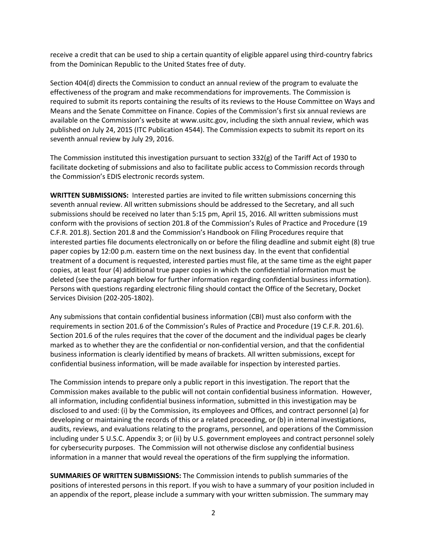receive a credit that can be used to ship a certain quantity of eligible apparel using third-country fabrics from the Dominican Republic to the United States free of duty.

Section 404(d) directs the Commission to conduct an annual review of the program to evaluate the effectiveness of the program and make recommendations for improvements. The Commission is required to submit its reports containing the results of its reviews to the House Committee on Ways and Means and the Senate Committee on Finance. Copies of the Commission's first six annual reviews are available on the Commission's website at www.usitc.gov, including the sixth annual review, which was published on July 24, 2015 (ITC Publication 4544). The Commission expects to submit its report on its seventh annual review by July 29, 2016.

The Commission instituted this investigation pursuant to section 332(g) of the Tariff Act of 1930 to facilitate docketing of submissions and also to facilitate public access to Commission records through the Commission's EDIS electronic records system.

**WRITTEN SUBMISSIONS:** Interested parties are invited to file written submissions concerning this seventh annual review. All written submissions should be addressed to the Secretary, and all such submissions should be received no later than 5:15 pm, April 15, 2016. All written submissions must conform with the provisions of section 201.8 of the Commission's Rules of Practice and Procedure (19 C.F.R. 201.8). Section 201.8 and the Commission's Handbook on Filing Procedures require that interested parties file documents electronically on or before the filing deadline and submit eight (8) true paper copies by 12:00 p.m. eastern time on the next business day. In the event that confidential treatment of a document is requested, interested parties must file, at the same time as the eight paper copies, at least four (4) additional true paper copies in which the confidential information must be deleted (see the paragraph below for further information regarding confidential business information). Persons with questions regarding electronic filing should contact the Office of the Secretary, Docket Services Division (202-205-1802).

Any submissions that contain confidential business information (CBI) must also conform with the requirements in section 201.6 of the Commission's Rules of Practice and Procedure (19 C.F.R. 201.6). Section 201.6 of the rules requires that the cover of the document and the individual pages be clearly marked as to whether they are the confidential or non-confidential version, and that the confidential business information is clearly identified by means of brackets. All written submissions, except for confidential business information, will be made available for inspection by interested parties.

The Commission intends to prepare only a public report in this investigation. The report that the Commission makes available to the public will not contain confidential business information. However, all information, including confidential business information, submitted in this investigation may be disclosed to and used: (i) by the Commission, its employees and Offices, and contract personnel (a) for developing or maintaining the records of this or a related proceeding, or (b) in internal investigations, audits, reviews, and evaluations relating to the programs, personnel, and operations of the Commission including under 5 U.S.C. Appendix 3; or (ii) by U.S. government employees and contract personnel solely for cybersecurity purposes. The Commission will not otherwise disclose any confidential business information in a manner that would reveal the operations of the firm supplying the information.

**SUMMARIES OF WRITTEN SUBMISSIONS:** The Commission intends to publish summaries of the positions of interested persons in this report. If you wish to have a summary of your position included in an appendix of the report, please include a summary with your written submission. The summary may